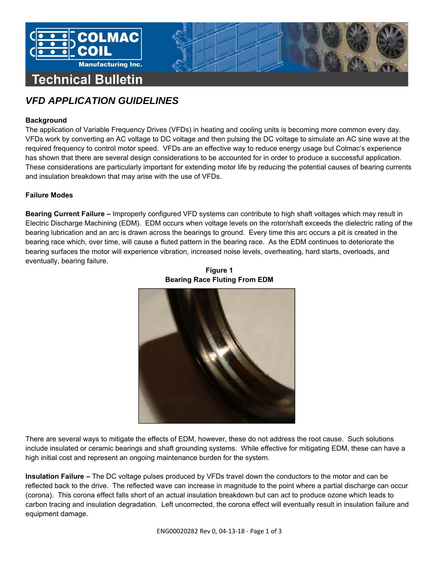

# *VFD APPLICATION GUIDELINES*

# **Background**

The application of Variable Frequency Drives (VFDs) in heating and cooling units is becoming more common every day. VFDs work by converting an AC voltage to DC voltage and then pulsing the DC voltage to simulate an AC sine wave at the required frequency to control motor speed. VFDs are an effective way to reduce energy usage but Colmac's experience has shown that there are several design considerations to be accounted for in order to produce a successful application. These considerations are particularly important for extending motor life by reducing the potential causes of bearing currents and insulation breakdown that may arise with the use of VFDs.

## **Failure Modes**

**Bearing Current Failure –** Improperly configured VFD systems can contribute to high shaft voltages which may result in Electric Discharge Machining (EDM). EDM occurs when voltage levels on the rotor/shaft exceeds the dielectric rating of the bearing lubrication and an arc is drawn across the bearings to ground. Every time this arc occurs a pit is created in the bearing race which, over time, will cause a fluted pattern in the bearing race. As the EDM continues to deteriorate the bearing surfaces the motor will experience vibration, increased noise levels, overheating, hard starts, overloads, and eventually, bearing failure.



**Figure 1 Bearing Race Fluting From EDM** 

There are several ways to mitigate the effects of EDM, however, these do not address the root cause. Such solutions include insulated or ceramic bearings and shaft grounding systems. While effective for mitigating EDM, these can have a high initial cost and represent an ongoing maintenance burden for the system.

**Insulation Failure –** The DC voltage pulses produced by VFDs travel down the conductors to the motor and can be reflected back to the drive. The reflected wave can increase in magnitude to the point where a partial discharge can occur (corona). This corona effect falls short of an actual insulation breakdown but can act to produce ozone which leads to carbon tracing and insulation degradation. Left uncorrected, the corona effect will eventually result in insulation failure and equipment damage.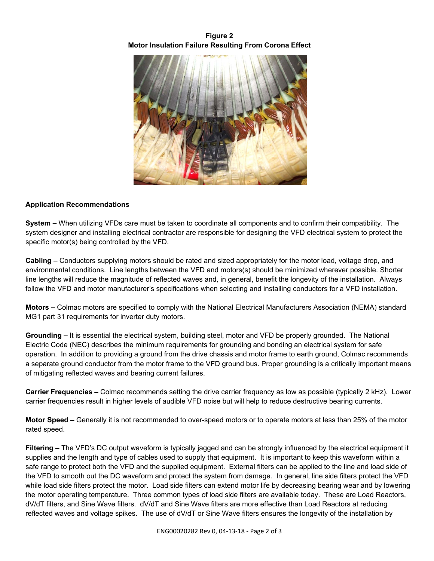# **Figure 2 Motor Insulation Failure Resulting From Corona Effect**



## **Application Recommendations**

**System –** When utilizing VFDs care must be taken to coordinate all components and to confirm their compatibility. The system designer and installing electrical contractor are responsible for designing the VFD electrical system to protect the specific motor(s) being controlled by the VFD.

**Cabling –** Conductors supplying motors should be rated and sized appropriately for the motor load, voltage drop, and environmental conditions. Line lengths between the VFD and motors(s) should be minimized wherever possible. Shorter line lengths will reduce the magnitude of reflected waves and, in general, benefit the longevity of the installation. Always follow the VFD and motor manufacturer's specifications when selecting and installing conductors for a VFD installation.

**Motors –** Colmac motors are specified to comply with the National Electrical Manufacturers Association (NEMA) standard MG1 part 31 requirements for inverter duty motors.

**Grounding –** It is essential the electrical system, building steel, motor and VFD be properly grounded. The National Electric Code (NEC) describes the minimum requirements for grounding and bonding an electrical system for safe operation. In addition to providing a ground from the drive chassis and motor frame to earth ground, Colmac recommends a separate ground conductor from the motor frame to the VFD ground bus. Proper grounding is a critically important means of mitigating reflected waves and bearing current failures.

**Carrier Frequencies –** Colmac recommends setting the drive carrier frequency as low as possible (typically 2 kHz). Lower carrier frequencies result in higher levels of audible VFD noise but will help to reduce destructive bearing currents.

**Motor Speed –** Generally it is not recommended to over-speed motors or to operate motors at less than 25% of the motor rated speed.

**Filtering –** The VFD's DC output waveform is typically jagged and can be strongly influenced by the electrical equipment it supplies and the length and type of cables used to supply that equipment. It is important to keep this waveform within a safe range to protect both the VFD and the supplied equipment. External filters can be applied to the line and load side of the VFD to smooth out the DC waveform and protect the system from damage. In general, line side filters protect the VFD while load side filters protect the motor. Load side filters can extend motor life by decreasing bearing wear and by lowering the motor operating temperature. Three common types of load side filters are available today. These are Load Reactors, dV/dT filters, and Sine Wave filters. dV/dT and Sine Wave filters are more effective than Load Reactors at reducing reflected waves and voltage spikes. The use of dV/dT or Sine Wave filters ensures the longevity of the installation by